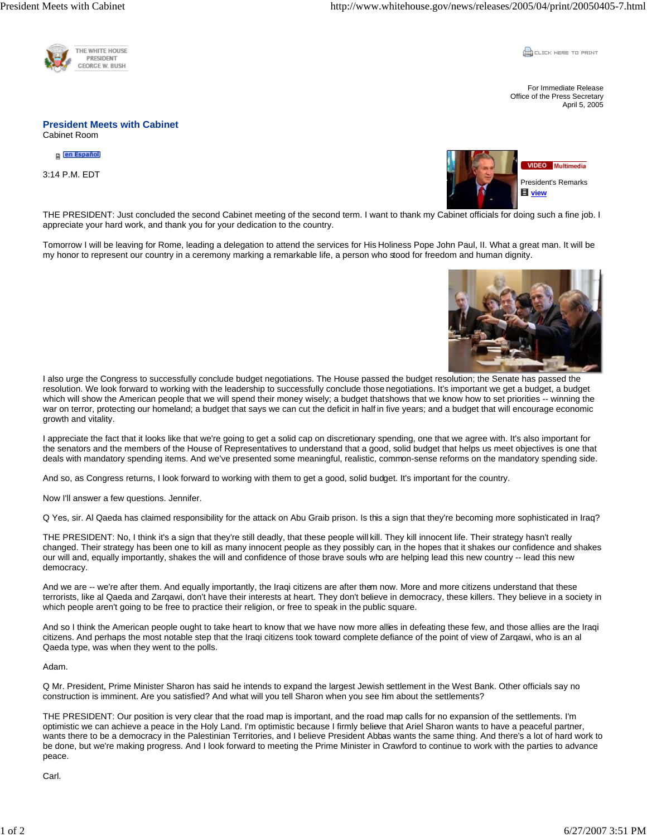

**CLICK HERE TO PRINT** 

For Immediate Release Office of the Press Secretary April 5, 2005

## **President Meets with Cabinet**  Cabinet Room

en Español

3:14 P.M. EDT



THE PRESIDENT: Just concluded the second Cabinet meeting of the second term. I want to thank my Cabinet officials for doing such a fine job. I appreciate your hard work, and thank you for your dedication to the country.

Tomorrow I will be leaving for Rome, leading a delegation to attend the services for His Holiness Pope John Paul, II. What a great man. It will be my honor to represent our country in a ceremony marking a remarkable life, a person who stood for freedom and human dignity.



I also urge the Congress to successfully conclude budget negotiations. The House passed the budget resolution; the Senate has passed the resolution. We look forward to working with the leadership to successfully conclude those negotiations. It's important we get a budget, a budget which will show the American people that we will spend their money wisely; a budget that shows that we know how to set priorities -- winning the war on terror, protecting our homeland; a budget that says we can cut the deficit in half in five years; and a budget that will encourage economic growth and vitality.

I appreciate the fact that it looks like that we're going to get a solid cap on discretionary spending, one that we agree with. It's also important for the senators and the members of the House of Representatives to understand that a good, solid budget that helps us meet objectives is one that deals with mandatory spending items. And we've presented some meaningful, realistic, common-sense reforms on the mandatory spending side.

And so, as Congress returns, I look forward to working with them to get a good, solid budget. It's important for the country.

Now I'll answer a few questions. Jennifer.

Q Yes, sir. Al Qaeda has claimed responsibility for the attack on Abu Graib prison. Is this a sign that they're becoming more sophisticated in Iraq?

THE PRESIDENT: No, I think it's a sign that they're still deadly, that these people will kill. They kill innocent life. Their strategy hasn't really changed. Their strategy has been one to kill as many innocent people as they possibly can, in the hopes that it shakes our confidence and shakes our will and, equally importantly, shakes the will and confidence of those brave souls who are helping lead this new country -- lead this new democracy.

And we are -- we're after them. And equally importantly, the Iraqi citizens are after them now. More and more citizens understand that these terrorists, like al Qaeda and Zarqawi, don't have their interests at heart. They don't believe in democracy, these killers. They believe in a society in which people aren't going to be free to practice their religion, or free to speak in the public square.

And so I think the American people ought to take heart to know that we have now more allies in defeating these few, and those allies are the Iraqi citizens. And perhaps the most notable step that the Iraqi citizens took toward complete defiance of the point of view of Zarqawi, who is an al Qaeda type, was when they went to the polls.

Adam.

Q Mr. President, Prime Minister Sharon has said he intends to expand the largest Jewish settlement in the West Bank. Other officials say no construction is imminent. Are you satisfied? And what will you tell Sharon when you see him about the settlements?

THE PRESIDENT: Our position is very clear that the road map is important, and the road map calls for no expansion of the settlements. I'm optimistic we can achieve a peace in the Holy Land. I'm optimistic because I firmly believe that Ariel Sharon wants to have a peaceful partner, wants there to be a democracy in the Palestinian Territories, and I believe President Abbas wants the same thing. And there's a lot of hard work to be done, but we're making progress. And I look forward to meeting the Prime Minister in Crawford to continue to work with the parties to advance peace.

Carl.